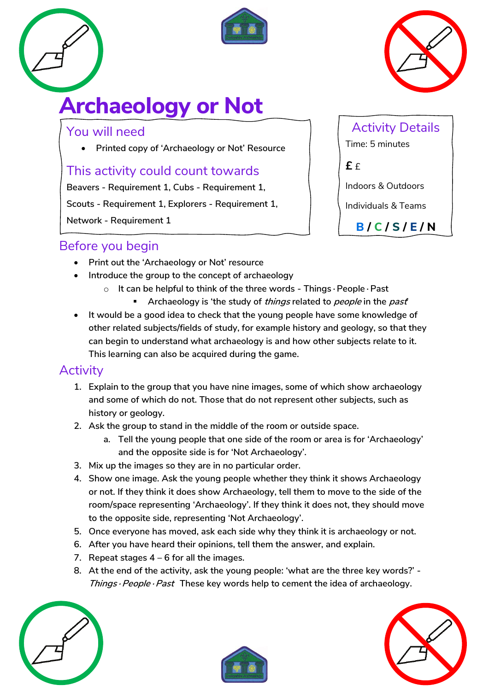



# **Archaeology or Not**

#### You will need

• **Printed copy of 'Archaeology or Not' Resource**

#### This activity could count towards

**Beavers - Requirement 1, Cubs - Requirement 1,** 

**Scouts - Requirement 1, Explorers - Requirement 1,** 

# Activity Details Time: 5 minutes

**£** £

Indoors & Outdoors

Individuals & Teams

**B / C / S / E / N**

**Network - Requirement 1**

#### Before you begin

- **Print out the 'Archaeology or Not' resource**
- **Introduce the group to the concept of archaeology**
	- o **It can be helpful to think of the three words - Things∙People∙Past**
		- **Archaeology is 'the study of things related to people in the past'**
- **It would be a good idea to check that the young people have some knowledge of other related subjects/fields of study, for example history and geology, so that they can begin to understand what archaeology is and how other subjects relate to it. This learning can also be acquired during the game.**

#### **Activity**

- **1. Explain to the group that you have nine images, some of which show archaeology and some of which do not. Those that do not represent other subjects, such as history or geology.**
- **2. Ask the group to stand in the middle of the room or outside space.** 
	- **a. Tell the young people that one side of the room or area is for 'Archaeology' and the opposite side is for 'Not Archaeology'.**
- **3. Mix up the images so they are in no particular order.**
- **4. Show one image. Ask the young people whether they think it shows Archaeology or not. If they think it does show Archaeology, tell them to move to the side of the room/space representing 'Archaeology'. If they think it does not, they should move to the opposite side, representing 'Not Archaeology'.**
- **5. Once everyone has moved, ask each side why they think it is archaeology or not.**
- **6. After you have heard their opinions, tell them the answer, and explain.**
- **7. Repeat stages 4 – 6 for all the images.**
- **8. At the end of the activity, ask the young people: 'what are the three key words?' - Things∙People∙Past These key words help to cement the idea of archaeology.**